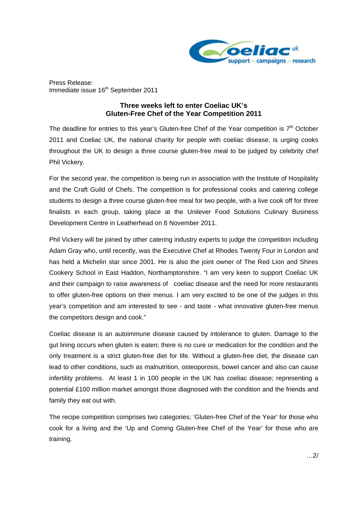

Press Release: Immediate issue 16<sup>th</sup> September 2011

## **Three weeks left to enter Coeliac UK's Gluten-Free Chef of the Year Competition 2011**

The deadline for entries to this year's Gluten-free Chef of the Year competition is  $7<sup>th</sup>$  October 2011 and Coeliac UK, the national charity for people with coeliac disease, is urging cooks throughout the UK to design a three course gluten-free meal to be judged by celebrity chef Phil Vickery.

For the second year, the competition is being run in association with the Institute of Hospitality and the Craft Guild of Chefs. The competition is for professional cooks and catering college students to design a three course gluten-free meal for two people, with a live cook off for three finalists in each group, taking place at the Unilever Food Solutions Culinary Business Development Centre in Leatherhead on 8 November 2011.

Phil Vickery will be joined by other catering industry experts to judge the competition including Adam Gray who, until recently, was the Executive Chef at Rhodes Twenty Four in London and has held a Michelin star since 2001. He is also the joint owner of The Red Lion and Shires Cookery School in East Haddon, Northamptonshire. "I am very keen to support Coeliac UK and their campaign to raise awareness of coeliac disease and the need for more restaurants to offer gluten-free options on their menus. I am very excited to be one of the judges in this year's competition and am interested to see - and taste - what innovative gluten-free menus the competitors design and cook."

Coeliac disease is an autoimmune disease caused by intolerance to gluten. Damage to the gut lining occurs when gluten is eaten; there is no cure or medication for the condition and the only treatment is a strict gluten-free diet for life. Without a gluten-free diet, the disease can lead to other conditions, such as malnutrition, osteoporosis, bowel cancer and also can cause infertility problems. At least 1 in 100 people in the UK has coeliac disease; representing a potential £100 million market amongst those diagnosed with the condition and the friends and family they eat out with.

The recipe competition comprises two categories; 'Gluten-free Chef of the Year' for those who cook for a living and the 'Up and Coming Gluten-free Chef of the Year' for those who are training.